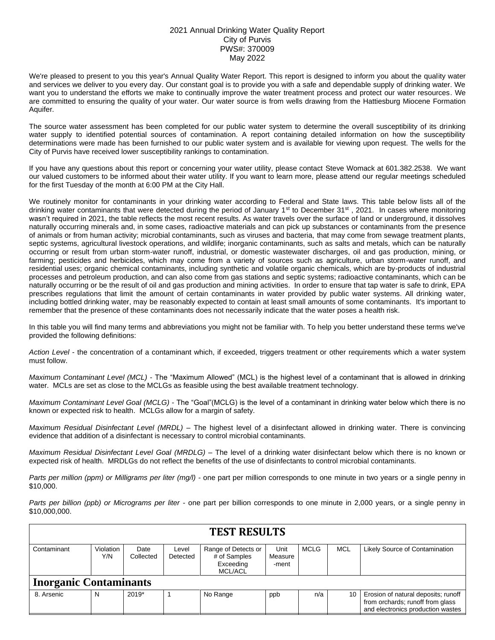## 2021 Annual Drinking Water Quality Report City of Purvis PWS#: 370009 May 2022

We're pleased to present to you this year's Annual Quality Water Report. This report is designed to inform you about the quality water and services we deliver to you every day. Our constant goal is to provide you with a safe and dependable supply of drinking water. We want you to understand the efforts we make to continually improve the water treatment process and protect our water resources. We are committed to ensuring the quality of your water. Our water source is from wells drawing from the Hattiesburg Miocene Formation Aquifer.

The source water assessment has been completed for our public water system to determine the overall susceptibility of its drinking water supply to identified potential sources of contamination. A report containing detailed information on how the susceptibility determinations were made has been furnished to our public water system and is available for viewing upon request. The wells for the City of Purvis have received lower susceptibility rankings to contamination.

If you have any questions about this report or concerning your water utility, please contact Steve Womack at 601.382.2538. We want our valued customers to be informed about their water utility. If you want to learn more, please attend our regular meetings scheduled for the first Tuesday of the month at 6:00 PM at the City Hall.

We routinely monitor for contaminants in your drinking water according to Federal and State laws. This table below lists all of the drinking water contaminants that were detected during the period of January  $1<sup>st</sup>$  to December  $31<sup>st</sup>$ , 2021. In cases where monitoring wasn't required in 2021, the table reflects the most recent results. As water travels over the surface of land or underground, it dissolves naturally occurring minerals and, in some cases, radioactive materials and can pick up substances or contaminants from the presence of animals or from human activity; microbial contaminants, such as viruses and bacteria, that may come from sewage treatment plants, septic systems, agricultural livestock operations, and wildlife; inorganic contaminants, such as salts and metals, which can be naturally occurring or result from urban storm-water runoff, industrial, or domestic wastewater discharges, oil and gas production, mining, or farming; pesticides and herbicides, which may come from a variety of sources such as agriculture, urban storm-water runoff, and residential uses; organic chemical contaminants, including synthetic and volatile organic chemicals, which are by-products of industrial processes and petroleum production, and can also come from gas stations and septic systems; radioactive contaminants, which can be naturally occurring or be the result of oil and gas production and mining activities. In order to ensure that tap water is safe to drink, EPA prescribes regulations that limit the amount of certain contaminants in water provided by public water systems. All drinking water, including bottled drinking water, may be reasonably expected to contain at least small amounts of some contaminants. It's important to remember that the presence of these contaminants does not necessarily indicate that the water poses a health risk.

In this table you will find many terms and abbreviations you might not be familiar with. To help you better understand these terms we've provided the following definitions:

*Action Level* - the concentration of a contaminant which, if exceeded, triggers treatment or other requirements which a water system must follow.

*Maximum Contaminant Level (MCL)* - The "Maximum Allowed" (MCL) is the highest level of a contaminant that is allowed in drinking water. MCLs are set as close to the MCLGs as feasible using the best available treatment technology.

*Maximum Contaminant Level Goal (MCLG)* - The "Goal"(MCLG) is the level of a contaminant in drinking water below which there is no known or expected risk to health. MCLGs allow for a margin of safety.

*Maximum Residual Disinfectant Level (MRDL)* – The highest level of a disinfectant allowed in drinking water. There is convincing evidence that addition of a disinfectant is necessary to control microbial contaminants.

*Maximum Residual Disinfectant Level Goal (MRDLG)* – The level of a drinking water disinfectant below which there is no known or expected risk of health. MRDLGs do not reflect the benefits of the use of disinfectants to control microbial contaminants.

*Parts per million (ppm) or Milligrams per liter (mg/l)* - one part per million corresponds to one minute in two years or a single penny in \$10,000.

*Parts per billion (ppb) or Micrograms per liter* - one part per billion corresponds to one minute in 2,000 years, or a single penny in \$10,000,000.

| <b>TEST RESULTS</b>           |                  |                   |                   |                                     |                 |             |            |                                                                         |  |  |  |
|-------------------------------|------------------|-------------------|-------------------|-------------------------------------|-----------------|-------------|------------|-------------------------------------------------------------------------|--|--|--|
| Contaminant                   | Violation<br>Y/N | Date<br>Collected | Level<br>Detected | Range of Detects or<br># of Samples | Unit<br>Measure | <b>MCLG</b> | <b>MCL</b> | Likely Source of Contamination                                          |  |  |  |
|                               |                  |                   |                   | Exceeding<br><b>MCL/ACL</b>         | -ment           |             |            |                                                                         |  |  |  |
| <b>Inorganic Contaminants</b> |                  |                   |                   |                                     |                 |             |            |                                                                         |  |  |  |
| 8. Arsenic                    | N                | $2019*$           |                   | No Range                            | ppb             | n/a         | 10         | Erosion of natural deposits; runoff<br>from orchards; runoff from glass |  |  |  |
|                               |                  |                   |                   |                                     |                 |             |            | and electronics production wastes                                       |  |  |  |